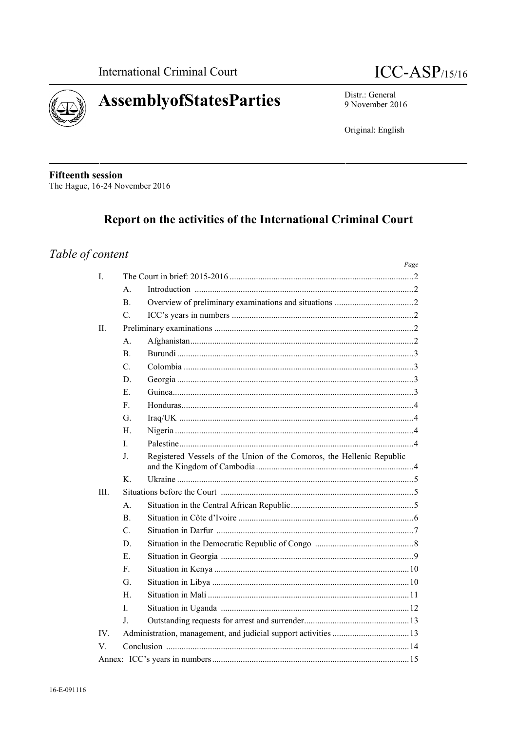



Distr.: General 9 November 2016

Original: English

**Fifteenth session** The Hague, 16-24 November 2016

# Report on the activities of the International Criminal Court

# Table of content

|          |                                                     |                                                                       | Page |  |  |
|----------|-----------------------------------------------------|-----------------------------------------------------------------------|------|--|--|
| L        |                                                     |                                                                       |      |  |  |
|          | $A_{\cdot}$                                         |                                                                       |      |  |  |
|          | <sub>B</sub>                                        |                                                                       |      |  |  |
|          | $\mathcal{C}$                                       |                                                                       |      |  |  |
| Π.       |                                                     |                                                                       |      |  |  |
|          | А.                                                  |                                                                       |      |  |  |
|          | <sub>B</sub>                                        |                                                                       |      |  |  |
|          | $C_{\cdot}$                                         |                                                                       |      |  |  |
|          | D.                                                  |                                                                       |      |  |  |
|          | E                                                   |                                                                       |      |  |  |
|          | F.                                                  |                                                                       |      |  |  |
|          | G.                                                  |                                                                       |      |  |  |
|          | H                                                   |                                                                       |      |  |  |
|          | L                                                   |                                                                       |      |  |  |
|          | J.                                                  | Registered Vessels of the Union of the Comoros, the Hellenic Republic |      |  |  |
|          | $K_{1}$                                             |                                                                       |      |  |  |
| III.     |                                                     |                                                                       |      |  |  |
|          | $A_{\cdot}$                                         |                                                                       |      |  |  |
|          | B <sub>1</sub>                                      |                                                                       |      |  |  |
|          | $\mathcal{C}$ .                                     |                                                                       |      |  |  |
|          | D.                                                  |                                                                       |      |  |  |
|          | Е.                                                  |                                                                       |      |  |  |
|          | F.                                                  |                                                                       |      |  |  |
|          | G.                                                  |                                                                       |      |  |  |
|          | H.                                                  |                                                                       |      |  |  |
|          | L                                                   |                                                                       |      |  |  |
|          | J.                                                  |                                                                       |      |  |  |
| $IV_{-}$ |                                                     |                                                                       |      |  |  |
| V.       |                                                     |                                                                       |      |  |  |
|          | Annex: $\text{ICC's years}$ in numbers<br>$\sim$ 15 |                                                                       |      |  |  |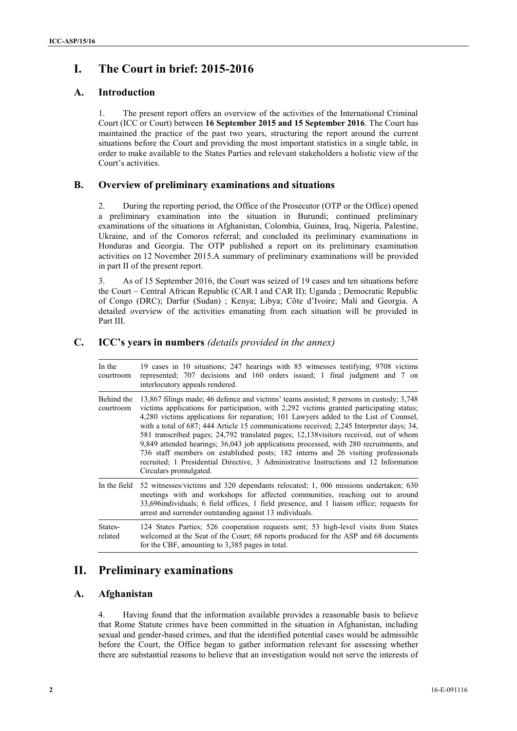# **I. The Court in brief: 2015-2016**

# **A. Introduction**

1. The present report offers an overview of the activities of the International Criminal Court (ICC or Court) between **16 September 2015 and 15 September 2016**. The Court has maintained the practice of the past two years, structuring the report around the current situations before the Court and providing the most important statistics in a single table, in order to make available to the States Parties and relevant stakeholders a holistic view of the Court's activities.

# **B. Overview of preliminary examinations and situations**

2. During the reporting period, the Office of the Prosecutor (OTP or the Office) opened a preliminary examination into the situation in Burundi; continued preliminary examinations of the situations in Afghanistan, Colombia, Guinea, Iraq, Nigeria, Palestine, Ukraine, and of the Comoros referral; and concluded its preliminary examinations in Honduras and Georgia. The OTP published a report on its preliminary examination activities on 12 November 2015.A summary of preliminary examinations will be provided in part II of the present report.

3. As of 15 September 2016, the Court was seized of 19 cases and ten situations before the Court – Central African Republic (CAR I and CAR II); Uganda ; Democratic Republic of Congo (DRC); Darfur (Sudan) ; Kenya; Libya; Côte d'Ivoire; Mali and Georgia. A detailed overview of the activities emanating from each situation will be provided in Part III.

# **C. ICC's years in numbers** *(details provided in the annex)*

| In the<br>courtroom     | 19 cases in 10 situations; 247 hearings with 85 witnesses testifying; 9708 victims<br>represented; 707 decisions and 160 orders issued; 1 final judgment and 7 on<br>interlocutory appeals rendered.                                                                                                                                                                                                                                                                                                                                                                                                                                                                                                                                                                |
|-------------------------|---------------------------------------------------------------------------------------------------------------------------------------------------------------------------------------------------------------------------------------------------------------------------------------------------------------------------------------------------------------------------------------------------------------------------------------------------------------------------------------------------------------------------------------------------------------------------------------------------------------------------------------------------------------------------------------------------------------------------------------------------------------------|
| Behind the<br>courtroom | 13,867 filings made; 46 defence and victims' teams assisted; 8 persons in custody; 3,748<br>victims applications for participation, with 2,292 victims granted participating status;<br>4,280 victims applications for reparation; 101 Lawyers added to the List of Counsel,<br>with a total of 687; 444 Article 15 communications received; 2,245 Interpreter days; 34,<br>581 transcribed pages; 24,792 translated pages; 12,138 visitors received, out of whom<br>9,849 attended hearings; 36,043 job applications processed, with 280 recruitments, and<br>736 staff members on established posts; 182 interns and 26 visiting professionals<br>recruited; 1 Presidential Directive, 3 Administrative Instructions and 12 Information<br>Circulars promulgated. |
|                         | In the field 52 witnesses/victims and 320 dependants relocated; 1, 006 missions undertaken; 630<br>meetings with and workshops for affected communities, reaching out to around<br>33,696 individuals; 6 field offices, 1 field presence, and 1 liaison office; requests for<br>arrest and surrender outstanding against 13 individuals.                                                                                                                                                                                                                                                                                                                                                                                                                            |
| States-<br>related      | 124 States Parties; 526 cooperation requests sent; 53 high-level visits from States<br>welcomed at the Seat of the Court; 68 reports produced for the ASP and 68 documents<br>for the CBF, amounting to 3,385 pages in total.                                                                                                                                                                                                                                                                                                                                                                                                                                                                                                                                       |

# **II. Preliminary examinations**

# **A. Afghanistan**

4. Having found that the information available provides a reasonable basis to believe that Rome Statute crimes have been committed in the situation in Afghanistan, including sexual and gender-based crimes, and that the identified potential cases would be admissible before the Court, the Office began to gather information relevant for assessing whether there are substantial reasons to believe that an investigation would not serve the interests of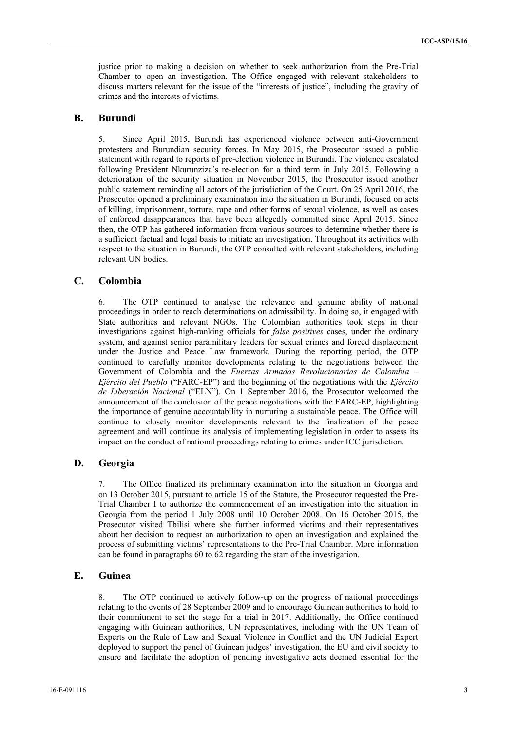justice prior to making a decision on whether to seek authorization from the Pre-Trial Chamber to open an investigation. The Office engaged with relevant stakeholders to discuss matters relevant for the issue of the "interests of justice", including the gravity of crimes and the interests of victims.

## **B. Burundi**

5. Since April 2015, Burundi has experienced violence between anti-Government protesters and Burundian security forces. In May 2015, the Prosecutor issued a public statement with regard to reports of pre-election violence in Burundi. The violence escalated following President Nkurunziza's re-election for a third term in July 2015. Following a deterioration of the security situation in November 2015, the Prosecutor issued another public statement reminding all actors of the jurisdiction of the Court. On 25 April 2016, the Prosecutor opened a preliminary examination into the situation in Burundi, focused on acts of killing, imprisonment, torture, rape and other forms of sexual violence, as well as cases of enforced disappearances that have been allegedly committed since April 2015. Since then, the OTP has gathered information from various sources to determine whether there is a sufficient factual and legal basis to initiate an investigation. Throughout its activities with respect to the situation in Burundi, the OTP consulted with relevant stakeholders, including relevant UN bodies.

## **C. Colombia**

6. The OTP continued to analyse the relevance and genuine ability of national proceedings in order to reach determinations on admissibility. In doing so, it engaged with State authorities and relevant NGOs. The Colombian authorities took steps in their investigations against high-ranking officials for *false positives* cases, under the ordinary system, and against senior paramilitary leaders for sexual crimes and forced displacement under the Justice and Peace Law framework. During the reporting period, the OTP continued to carefully monitor developments relating to the negotiations between the Government of Colombia and the *Fuerzas Armadas Revolucionarias de Colombia – Ejército del Pueblo* ("FARC-EP") and the beginning of the negotiations with the *Ejército de Liberación Nacional* ("ELN"). On 1 September 2016, the Prosecutor welcomed the announcement of the conclusion of the peace negotiations with the FARC-EP, highlighting the importance of genuine accountability in nurturing a sustainable peace. The Office will continue to closely monitor developments relevant to the finalization of the peace agreement and will continue its analysis of implementing legislation in order to assess its impact on the conduct of national proceedings relating to crimes under ICC jurisdiction.

## **D. Georgia**

7. The Office finalized its preliminary examination into the situation in Georgia and on 13 October 2015, pursuant to article 15 of the Statute, the Prosecutor requested the Pre- Trial Chamber I to authorize the commencement of an investigation into the situation in Georgia from the period 1 July 2008 until 10 October 2008. On 16 October 2015, the Prosecutor visited Tbilisi where she further informed victims and their representatives about her decision to request an authorization to open an investigation and explained the process of submitting victims' representations to the Pre-Trial Chamber. More information can be found in paragraphs 60 to 62 regarding the start of the investigation.

# **E. Guinea**

8. The OTP continued to actively follow-up on the progress of national proceedings relating to the events of 28 September 2009 and to encourage Guinean authorities to hold to their commitment to set the stage for a trial in 2017. Additionally, the Office continued engaging with Guinean authorities, UN representatives, including with the UN Team of Experts on the Rule of Law and Sexual Violence in Conflict and the UN Judicial Expert deployed to support the panel of Guinean judges' investigation, the EU and civil society to ensure and facilitate the adoption of pending investigative acts deemed essential for the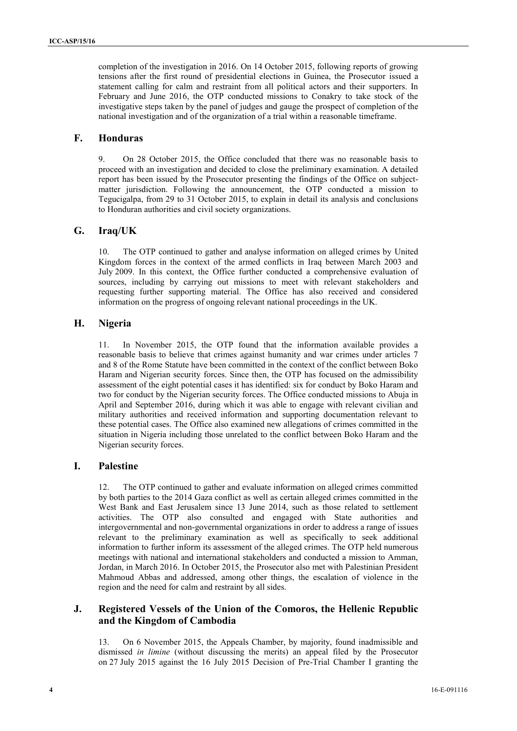completion of the investigation in 2016. On 14 October 2015, following reports of growing tensions after the first round of presidential elections in Guinea, the Prosecutor issued a statement calling for calm and restraint from all political actors and their supporters. In February and June 2016, the OTP conducted missions to Conakry to take stock of the investigative steps taken by the panel of judges and gauge the prospect of completion of the national investigation and of the organization of a trial within a reasonable timeframe.

# **F. Honduras**

9. On 28 October 2015, the Office concluded that there was no reasonable basis to proceed with an investigation and decided to close the preliminary examination. A detailed report has been issued by the Prosecutor presenting the findings of the Office on subject matter jurisdiction. Following the announcement, the OTP conducted a mission to Tegucigalpa, from 29 to 31 October 2015, to explain in detail its analysis and conclusions to Honduran authorities and civil society organizations.

## **G. Iraq/UK**

10. The OTP continued to gather and analyse information on alleged crimes by United Kingdom forces in the context of the armed conflicts in Iraq between March 2003 and July 2009. In this context, the Office further conducted a comprehensive evaluation of sources, including by carrying out missions to meet with relevant stakeholders and requesting further supporting material. The Office has also received and considered information on the progress of ongoing relevant national proceedings in the UK.

## **H. Nigeria**

11. In November 2015, the OTP found that the information available provides a reasonable basis to believe that crimes against humanity and war crimes under articles 7 and 8 of the Rome Statute have been committed in the context of the conflict between Boko Haram and Nigerian security forces. Since then, the OTP has focused on the admissibility assessment of the eight potential cases it has identified: six for conduct by Boko Haram and two for conduct by the Nigerian security forces. The Office conducted missions to Abuja in April and September 2016, during which it was able to engage with relevant civilian and military authorities and received information and supporting documentation relevant to these potential cases. The Office also examined new allegations of crimes committed in the situation in Nigeria including those unrelated to the conflict between Boko Haram and the Nigerian security forces.

## **I. Palestine**

The OTP continued to gather and evaluate information on alleged crimes committed by both parties to the 2014 Gaza conflict as well as certain alleged crimes committed in the West Bank and East Jerusalem since 13 June 2014, such as those related to settlement activities. The OTP also consulted and engaged with State authorities and intergovernmental and non-governmental organizations in order to address a range of issues relevant to the preliminary examination as well as specifically to seek additional information to further inform its assessment of the alleged crimes. The OTP held numerous meetings with national and international stakeholders and conducted a mission to Amman, Jordan, in March 2016. In October 2015, the Prosecutor also met with Palestinian President Mahmoud Abbas and addressed, among other things, the escalation of violence in the region and the need for calm and restraint by all sides.

## **J. Registered Vessels of the Union of the Comoros, the Hellenic Republic and the Kingdom of Cambodia**

13. On 6 November 2015, the Appeals Chamber, by majority, found inadmissible and dismissed *in limine* (without discussing the merits) an appeal filed by the Prosecutor on 27 July 2015 against the 16 July 2015 Decision of Pre-Trial Chamber I granting the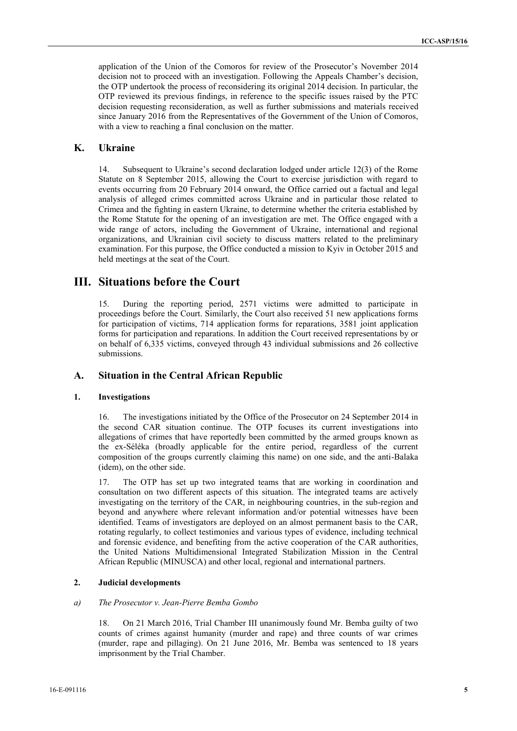application of the Union of the Comoros for review of the Prosecutor's November 2014 decision not to proceed with an investigation. Following the Appeals Chamber's decision, the OTP undertook the process of reconsidering its original 2014 decision. In particular, the OTP reviewed its previous findings, in reference to the specific issues raised by the PTC decision requesting reconsideration, as well as further submissions and materials received since January 2016 from the Representatives of the Government of the Union of Comoros, with a view to reaching a final conclusion on the matter.

## **K. Ukraine**

14. Subsequent to Ukraine's second declaration lodged under article 12(3) of the Rome Statute on 8 September 2015, allowing the Court to exercise jurisdiction with regard to events occurring from 20 February 2014 onward, the Office carried out a factual and legal analysis of alleged crimes committed across Ukraine and in particular those related to Crimea and the fighting in eastern Ukraine, to determine whether the criteria established by the Rome Statute for the opening of an investigation are met. The Office engaged with a wide range of actors, including the Government of Ukraine, international and regional organizations, and Ukrainian civil society to discuss matters related to the preliminary examination. For this purpose, the Office conducted a mission to Kyiv in October 2015 and held meetings at the seat of the Court.

# **III. Situations before the Court**

15. During the reporting period, 2571 victims were admitted to participate in proceedings before the Court. Similarly, the Court also received 51 new applications forms for participation of victims, 714 application forms for reparations, 3581 joint application forms for participation and reparations. In addition the Court received representations by or on behalf of 6,335 victims, conveyed through 43 individual submissions and 26 collective submissions.

# **A. Situation in the Central African Republic**

#### **1. Investigations**

16. The investigations initiated by the Office of the Prosecutor on 24 September 2014 in the second CAR situation continue. The OTP focuses its current investigations into allegations of crimes that have reportedly been committed by the armed groups known as the ex-Séléka (broadly applicable for the entire period, regardless of the current composition of the groups currently claiming this name) on one side, and the anti-Balaka (idem), on the other side.

17. The OTP has set up two integrated teams that are working in coordination and consultation on two different aspects of this situation. The integrated teams are actively investigating on the territory of the CAR, in neighbouring countries, in the sub-region and beyond and anywhere where relevant information and/or potential witnesses have been identified. Teams of investigators are deployed on an almost permanent basis to the CAR, rotating regularly, to collect testimonies and various types of evidence, including technical and forensic evidence, and benefiting from the active cooperation of the CAR authorities, the United Nations Multidimensional Integrated Stabilization Mission in the Central African Republic (MINUSCA) and other local, regional and international partners.

#### **2. Judicial developments**

#### *a) The Prosecutor v. Jean-Pierre Bemba Gombo*

18. On 21 March 2016, Trial Chamber III unanimously found Mr. Bemba guilty of two counts of crimes against humanity (murder and rape) and three counts of war crimes (murder, rape and pillaging). On 21 June 2016, Mr. Bemba was sentenced to 18 years imprisonment by the Trial Chamber.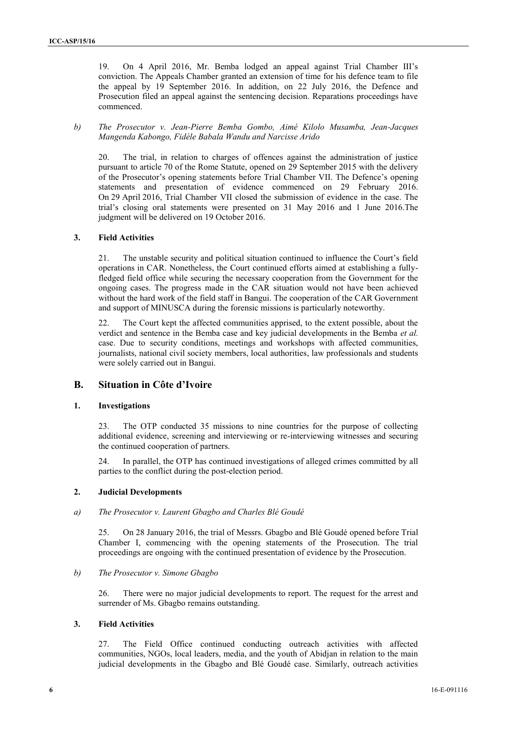19. On 4 April 2016, Mr. Bemba lodged an appeal against Trial Chamber III's conviction. The Appeals Chamber granted an extension of time for his defence team to file the appeal by 19 September 2016. In addition, on 22 July 2016, the Defence and Prosecution filed an appeal against the sentencing decision. Reparations proceedings have commenced.

*b) The Prosecutor v. Jean-Pierre Bemba Gombo, Aimé Kilolo Musamba, Jean-Jacques Mangenda Kabongo, Fidèle Babala Wandu and Narcisse Arido*

20. The trial, in relation to charges of offences against the administration of justice pursuant to article 70 of the Rome Statute, opened on 29 September 2015 with the delivery of the Prosecutor's opening statements before Trial Chamber VII. The Defence's opening statements and presentation of evidence commenced on 29 February 2016. On 29 April 2016, Trial Chamber VII closed the submission of evidence in the case. The trial's closing oral statements were presented on 31 May 2016 and 1 June 2016.The judgment will be delivered on 19 October 2016.

#### **3. Field Activities**

21. The unstable security and political situation continued to influence the Court's field operations in CAR. Nonetheless, the Court continued efforts aimed at establishing a fullyfledged field office while securing the necessary cooperation from the Government for the ongoing cases. The progress made in the CAR situation would not have been achieved without the hard work of the field staff in Bangui. The cooperation of the CAR Government and support of MINUSCA during the forensic missions is particularly noteworthy.

22. The Court kept the affected communities apprised, to the extent possible, about the verdict and sentence in the Bemba case and key judicial developments in the Bemba *et al.* case. Due to security conditions, meetings and workshops with affected communities, journalists, national civil society members, local authorities, law professionals and students were solely carried out in Bangui.

## **B. Situation in Côte d'Ivoire**

#### **1. Investigations**

23. The OTP conducted 35 missions to nine countries for the purpose of collecting additional evidence, screening and interviewing or re-interviewing witnesses and securing the continued cooperation of partners.

24. In parallel, the OTP has continued investigations of alleged crimes committed by all parties to the conflict during the post-election period.

#### **2. Judicial Developments**

#### *a) The Prosecutor v. Laurent Gbagbo and Charles Blé Goudé*

25. On 28 January 2016, the trial of Messrs. Gbagbo and Blé Goudé opened before Trial Chamber I, commencing with the opening statements of the Prosecution. The trial proceedings are ongoing with the continued presentation of evidence by the Prosecution.

#### *b) The Prosecutor v. Simone Gbagbo*

26. There were no major judicial developments to report. The request for the arrest and surrender of Ms. Gbagbo remains outstanding.

#### **3. Field Activities**

27. The Field Office continued conducting outreach activities with affected communities, NGOs, local leaders, media, and the youth of Abidjan in relation to the main judicial developments in the Gbagbo and Blé Goudé case. Similarly, outreach activities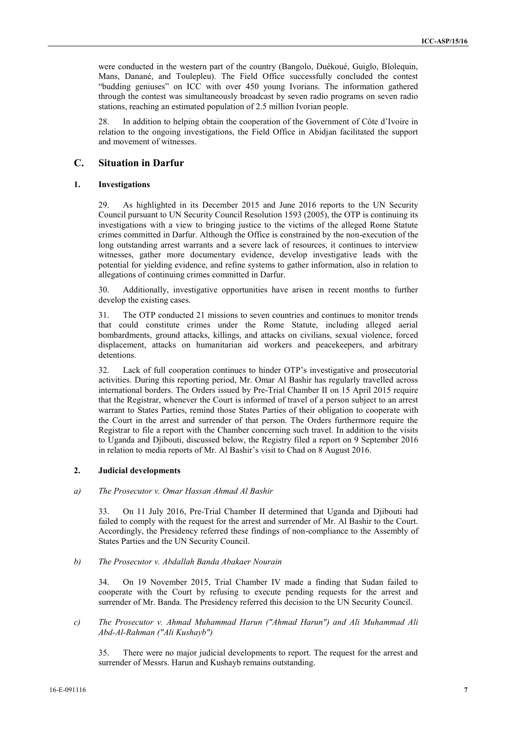were conducted in the western part of the country (Bangolo, Duékoué, Guiglo, Blolequin, Mans, Danané, and Toulepleu). The Field Office successfully concluded the contest "budding geniuses" on ICC with over 450 young Ivorians. The information gathered through the contest was simultaneously broadcast by seven radio programs on seven radio stations, reaching an estimated population of 2.5 million Ivorian people.

28. In addition to helping obtain the cooperation of the Government of Côte d'Ivoire in relation to the ongoing investigations, the Field Office in Abidjan facilitated the support and movement of witnesses.

#### **C. Situation in Darfur**

### **1. Investigations**

29. As highlighted in its December 2015 and June 2016 reports to the UN Security Council pursuant to UN Security Council Resolution 1593 (2005), the OTP is continuing its investigations with a view to bringing justice to the victims of the alleged Rome Statute crimes committed in Darfur. Although the Office is constrained by the non-execution of the long outstanding arrest warrants and a severe lack of resources, it continues to interview witnesses, gather more documentary evidence, develop investigative leads with the potential for yielding evidence, and refine systems to gather information, also in relation to allegations of continuing crimes committed in Darfur.

30. Additionally, investigative opportunities have arisen in recent months to further develop the existing cases.

31. The OTP conducted 21 missions to seven countries and continues to monitor trends that could constitute crimes under the Rome Statute, including alleged aerial bombardments, ground attacks, killings, and attacks on civilians, sexual violence, forced displacement, attacks on humanitarian aid workers and peacekeepers, and arbitrary detentions.

32. Lack of full cooperation continues to hinder OTP's investigative and prosecutorial activities. During this reporting period, Mr. Omar Al Bashir has regularly travelled across international borders. The Orders issued by Pre-Trial Chamber II on 15 April 2015 require that the Registrar, whenever the Court is informed of travel of a person subject to an arrest warrant to States Parties, remind those States Parties of their obligation to cooperate with the Court in the arrest and surrender of that person. The Orders furthermore require the Registrar to file a report with the Chamber concerning such travel. In addition to the visits to Uganda and Djibouti, discussed below, the Registry filed a report on 9 September 2016 in relation to media reports of Mr. Al Bashir's visit to Chad on 8 August 2016.

#### **2. Judicial developments**

#### *a) The Prosecutor v. Omar Hassan Ahmad Al Bashir*

33. On 11 July 2016, Pre-Trial Chamber II determined that Uganda and Djibouti had failed to comply with the request for the arrest and surrender of Mr. Al Bashir to the Court. Accordingly, the Presidency referred these findings of non-compliance to the Assembly of States Parties and the UN Security Council.

#### *b) The Prosecutor v. Abdallah Banda Abakaer Nourain*

34. On 19 November 2015, Trial Chamber IV made a finding that Sudan failed to cooperate with the Court by refusing to execute pending requests for the arrest and surrender of Mr. Banda. The Presidency referred this decision to the UN Security Council.

#### *c) The Prosecutor v. Ahmad Muhammad Harun ("Ahmad Harun") and Ali Muhammad Ali Abd-Al-Rahman ("Ali Kushayb")*

35. There were no major judicial developments to report. The request for the arrest and surrender of Messrs. Harun and Kushayb remains outstanding.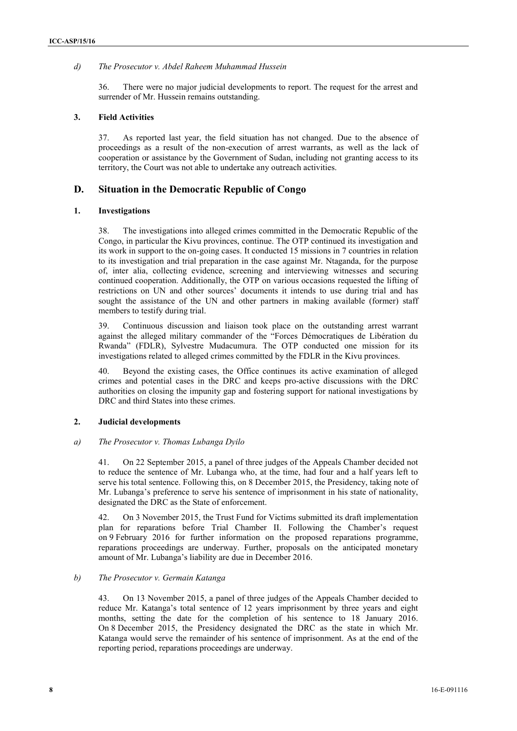#### *d) The Prosecutor v. Abdel Raheem Muhammad Hussein*

36. There were no major judicial developments to report. The request for the arrest and surrender of Mr. Hussein remains outstanding.

#### **3. Field Activities**

37. As reported last year, the field situation has not changed. Due to the absence of proceedings as a result of the non-execution of arrest warrants, as well as the lack of cooperation or assistance by the Government of Sudan, including not granting access to its territory, the Court was not able to undertake any outreach activities.

## **D. Situation in the Democratic Republic of Congo**

#### **1. Investigations**

38. The investigations into alleged crimes committed in the Democratic Republic of the Congo, in particular the Kivu provinces, continue. The OTP continued its investigation and its work in support to the on-going cases. It conducted 15 missions in 7 countries in relation to its investigation and trial preparation in the case against Mr. Ntaganda, for the purpose of, inter alia, collecting evidence, screening and interviewing witnesses and securing continued cooperation. Additionally, the OTP on various occasions requested the lifting of restrictions on UN and other sources' documents it intends to use during trial and has sought the assistance of the UN and other partners in making available (former) staff members to testify during trial.

39. Continuous discussion and liaison took place on the outstanding arrest warrant against the alleged military commander of the "Forces Démocratiques de Libération du Rwanda" (FDLR), Sylvestre Mudacumura. The OTP conducted one mission for its investigations related to alleged crimes committed by the FDLR in the Kivu provinces.

40. Beyond the existing cases, the Office continues its active examination of alleged crimes and potential cases in the DRC and keeps pro-active discussions with the DRC authorities on closing the impunity gap and fostering support for national investigations by DRC and third States into these crimes.

### **2. Judicial developments**

#### *a) The Prosecutor v. Thomas Lubanga Dyilo*

41. On 22 September 2015, a panel of three judges of the Appeals Chamber decided not to reduce the sentence of Mr. Lubanga who, at the time, had four and a half years left to serve his total sentence. Following this, on 8 December 2015, the Presidency, taking note of Mr. Lubanga's preference to serve his sentence of imprisonment in his state of nationality, designated the DRC as the State of enforcement.

42. On 3 November 2015, the Trust Fund for Victims submitted its draft implementation plan for reparations before Trial Chamber II. Following the Chamber's request on 9 February 2016 for further information on the proposed reparations programme, reparations proceedings are underway. Further, proposals on the anticipated monetary amount of Mr. Lubanga's liability are due in December 2016.

### *b) The Prosecutor v. Germain Katanga*

43. On 13 November 2015, a panel of three judges of the Appeals Chamber decided to reduce Mr. Katanga's total sentence of 12 years imprisonment by three years and eight months, setting the date for the completion of his sentence to 18 January 2016. On 8 December 2015, the Presidency designated the DRC as the state in which Mr. Katanga would serve the remainder of his sentence of imprisonment. As at the end of the reporting period, reparations proceedings are underway.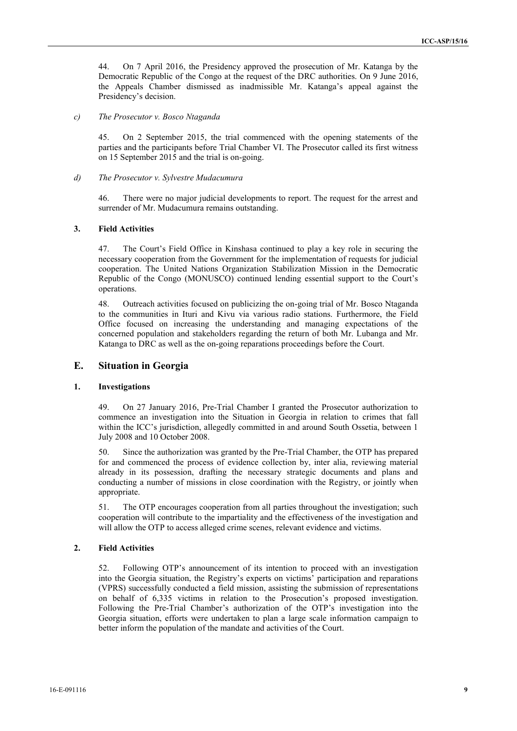44. On 7 April 2016, the Presidency approved the prosecution of Mr. Katanga by the Democratic Republic of the Congo at the request of the DRC authorities. On 9 June 2016, the Appeals Chamber dismissed as inadmissible Mr. Katanga's appeal against the Presidency's decision.

#### *c) The Prosecutor v. Bosco Ntaganda*

45. On 2 September 2015, the trial commenced with the opening statements of the parties and the participants before Trial Chamber VI. The Prosecutor called its first witness on 15 September 2015 and the trial is on-going.

#### *d) The Prosecutor v. Sylvestre Mudacumura*

46. There were no major judicial developments to report. The request for the arrest and surrender of Mr. Mudacumura remains outstanding.

#### **3. Field Activities**

47. The Court's Field Office in Kinshasa continued to play a key role in securing the necessary cooperation from the Government for the implementation of requests for judicial cooperation. The United Nations Organization Stabilization Mission in the Democratic Republic of the Congo (MONUSCO) continued lending essential support to the Court's operations.

48. Outreach activities focused on publicizing the on-going trial of Mr. Bosco Ntaganda to the communities in Ituri and Kivu via various radio stations. Furthermore, the Field Office focused on increasing the understanding and managing expectations of the concerned population and stakeholders regarding the return of both Mr. Lubanga and Mr. Katanga to DRC as well as the on-going reparations proceedings before the Court.

## **E. Situation in Georgia**

#### **1. Investigations**

49. On 27 January 2016, Pre-Trial Chamber I granted the Prosecutor authorization to commence an investigation into the Situation in Georgia in relation to crimes that fall within the ICC's jurisdiction, allegedly committed in and around South Ossetia, between 1 July 2008 and 10 October 2008.

50. Since the authorization was granted by the Pre-Trial Chamber, the OTP has prepared for and commenced the process of evidence collection by, inter alia, reviewing material already in its possession, drafting the necessary strategic documents and plans and conducting a number of missions in close coordination with the Registry, or jointly when appropriate.

51. The OTP encourages cooperation from all parties throughout the investigation; such cooperation will contribute to the impartiality and the effectiveness of the investigation and will allow the OTP to access alleged crime scenes, relevant evidence and victims.

### **2. Field Activities**

52. Following OTP's announcement of its intention to proceed with an investigation into the Georgia situation, the Registry's experts on victims' participation and reparations (VPRS) successfully conducted a field mission, assisting the submission of representations on behalf of 6,335 victims in relation to the Prosecution's proposed investigation. Following the Pre-Trial Chamber's authorization of the OTP's investigation into the Georgia situation, efforts were undertaken to plan a large scale information campaign to better inform the population of the mandate and activities of the Court.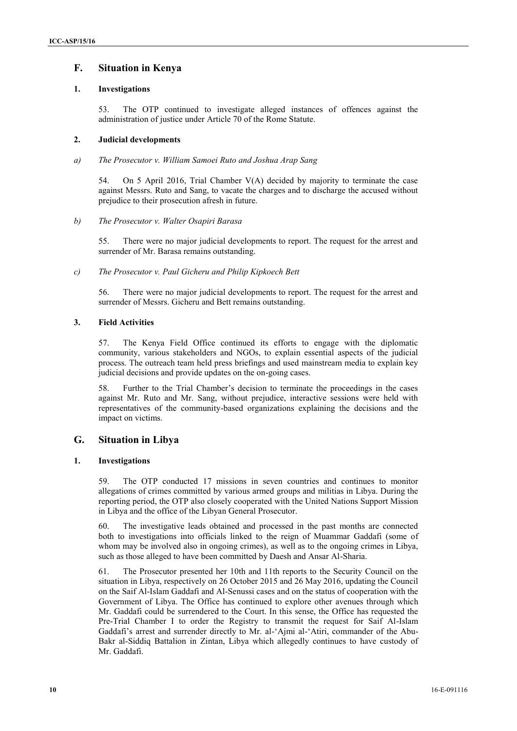# **F. Situation in Kenya**

### **1. Investigations**

53. The OTP continued to investigate alleged instances of offences against the administration of justice under Article 70 of the Rome Statute.

### **2. Judicial developments**

*a) The Prosecutor v. William Samoei Ruto and Joshua Arap Sang*

54. On 5 April 2016, Trial Chamber V(A) decided by majority to terminate the case against Messrs. Ruto and Sang, to vacate the charges and to discharge the accused without prejudice to their prosecution afresh in future.

#### *b) The Prosecutor v. Walter Osapiri Barasa*

55. There were no major judicial developments to report. The request for the arrest and surrender of Mr. Barasa remains outstanding.

*c) The Prosecutor v. Paul Gicheru and Philip Kipkoech Bett*

56. There were no major judicial developments to report. The request for the arrest and surrender of Messrs. Gicheru and Bett remains outstanding.

#### **3. Field Activities**

57. The Kenya Field Office continued its efforts to engage with the diplomatic community, various stakeholders and NGOs, to explain essential aspects of the judicial process. The outreach team held press briefings and used mainstream media to explain key judicial decisions and provide updates on the on-going cases.

58. Further to the Trial Chamber's decision to terminate the proceedings in the cases against Mr. Ruto and Mr. Sang, without prejudice, interactive sessions were held with representatives of the community-based organizations explaining the decisions and the impact on victims.

## **G. Situation in Libya**

#### **1. Investigations**

59. The OTP conducted 17 missions in seven countries and continues to monitor allegations of crimes committed by various armed groups and militias in Libya. During the reporting period, the OTP also closely cooperated with the United Nations Support Mission in Libya and the office of the Libyan General Prosecutor.

60. The investigative leads obtained and processed in the past months are connected both to investigations into officials linked to the reign of Muammar Gaddafi (some of whom may be involved also in ongoing crimes), as well as to the ongoing crimes in Libya, such as those alleged to have been committed by Daesh and Ansar Al-Sharia.

61. The Prosecutor presented her 10th and 11th reports to the Security Council on the situation in Libya, respectively on 26 October 2015 and 26 May 2016, updating the Council on the Saif Al-Islam Gaddafi and Al-Senussi cases and on the status of cooperation with the Government of Libya. The Office has continued to explore other avenues through which Mr. Gaddafi could be surrendered to the Court. In this sense, the Office has requested the Pre-Trial Chamber I to order the Registry to transmit the request for Saif Al-Islam Gaddafi's arrest and surrender directly to Mr. al-'Ajmi al-'Atiri, commander of the Abu- Bakr al-Siddiq Battalion in Zintan, Libya which allegedly continues to have custody of Mr. Gaddafi.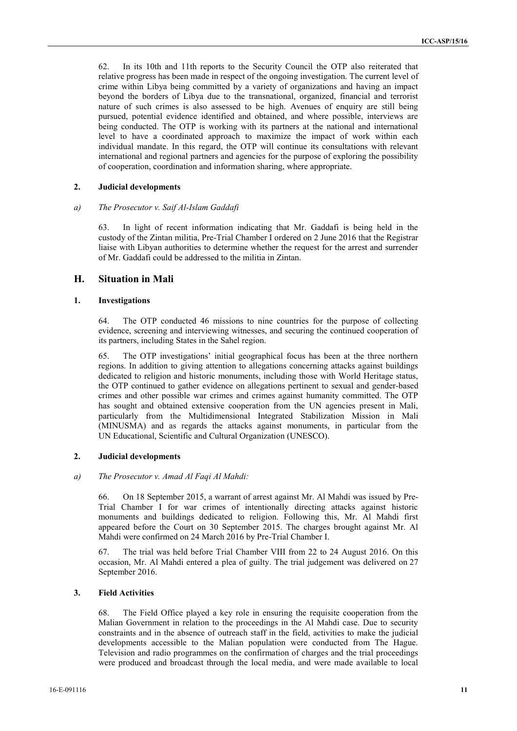62. In its 10th and 11th reports to the Security Council the OTP also reiterated that relative progress has been made in respect of the ongoing investigation. The current level of crime within Libya being committed by a variety of organizations and having an impact beyond the borders of Libya due to the transnational, organized, financial and terrorist nature of such crimes is also assessed to be high. Avenues of enquiry are still being pursued, potential evidence identified and obtained, and where possible, interviews are being conducted. The OTP is working with its partners at the national and international level to have a coordinated approach to maximize the impact of work within each individual mandate. In this regard, the OTP will continue its consultations with relevant international and regional partners and agencies for the purpose of exploring the possibility of cooperation, coordination and information sharing, where appropriate.

## **2. Judicial developments**

#### *a) The Prosecutor v. Saif Al-Islam Gaddafi*

63. In light of recent information indicating that Mr. Gaddafi is being held in the custody of the Zintan militia, Pre-Trial Chamber I ordered on 2 June 2016 that the Registrar liaise with Libyan authorities to determine whether the request for the arrest and surrender of Mr. Gaddafi could be addressed to the militia in Zintan.

## **H. Situation in Mali**

#### **1. Investigations**

64. The OTP conducted 46 missions to nine countries for the purpose of collecting evidence, screening and interviewing witnesses, and securing the continued cooperation of its partners, including States in the Sahel region.

65. The OTP investigations' initial geographical focus has been at the three northern regions. In addition to giving attention to allegations concerning attacks against buildings dedicated to religion and historic monuments, including those with World Heritage status, the OTP continued to gather evidence on allegations pertinent to sexual and gender-based crimes and other possible war crimes and crimes against humanity committed. The OTP has sought and obtained extensive cooperation from the UN agencies present in Mali, particularly from the Multidimensional Integrated Stabilization Mission in Mali (MINUSMA) and as regards the attacks against monuments, in particular from the UN Educational, Scientific and Cultural Organization (UNESCO).

## **2. Judicial developments**

#### *a) The Prosecutor v. Amad Al Faqi Al Mahdi:*

66. On 18 September 2015, a warrant of arrest against Mr. Al Mahdi was issued by Pre- Trial Chamber I for war crimes of intentionally directing attacks against historic monuments and buildings dedicated to religion. Following this, Mr. Al Mahdi first appeared before the Court on 30 September 2015. The charges brought against Mr. Al Mahdi were confirmed on 24 March 2016 by Pre-Trial Chamber I.

67. The trial was held before Trial Chamber VIII from 22 to 24 August 2016. On this occasion, Mr. Al Mahdi entered a plea of guilty. The trial judgement was delivered on 27 September 2016.

## **3. Field Activities**

68. The Field Office played a key role in ensuring the requisite cooperation from the Malian Government in relation to the proceedings in the Al Mahdi case. Due to security constraints and in the absence of outreach staff in the field, activities to make the judicial developments accessible to the Malian population were conducted from The Hague. Television and radio programmes on the confirmation of charges and the trial proceedings were produced and broadcast through the local media, and were made available to local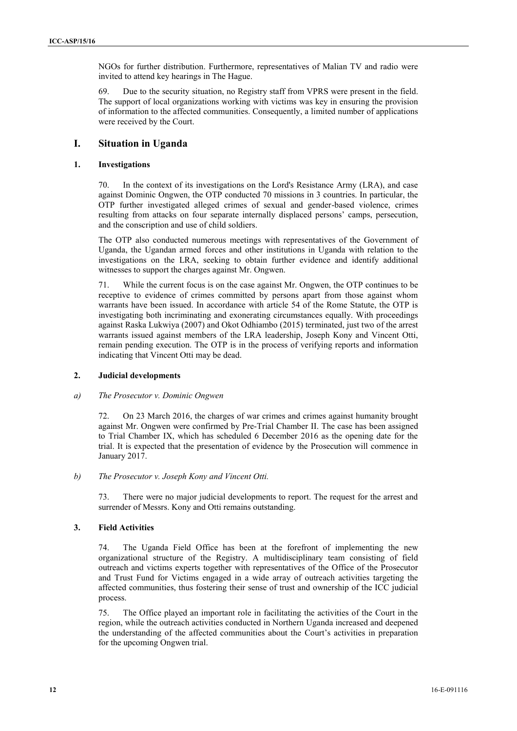NGOs for further distribution. Furthermore, representatives of Malian TV and radio were invited to attend key hearings in The Hague.

69. Due to the security situation, no Registry staff from VPRS were present in the field. The support of local organizations working with victims was key in ensuring the provision of information to the affected communities. Consequently, a limited number of applications were received by the Court.

# **I. Situation in Uganda**

#### **1. Investigations**

70. In the context of its investigations on the Lord's Resistance Army (LRA), and case against Dominic Ongwen, the OTP conducted 70 missions in 3 countries. In particular, the OTP further investigated alleged crimes of sexual and gender-based violence, crimes resulting from attacks on four separate internally displaced persons' camps, persecution, and the conscription and use of child soldiers.

The OTP also conducted numerous meetings with representatives of the Government of Uganda, the Ugandan armed forces and other institutions in Uganda with relation to the investigations on the LRA, seeking to obtain further evidence and identify additional witnesses to support the charges against Mr. Ongwen.

71. While the current focus is on the case against Mr. Ongwen, the OTP continues to be receptive to evidence of crimes committed by persons apart from those against whom warrants have been issued. In accordance with article 54 of the Rome Statute, the OTP is investigating both incriminating and exonerating circumstances equally. With proceedings against Raska Lukwiya (2007) and Okot Odhiambo (2015) terminated, just two of the arrest warrants issued against members of the LRA leadership, Joseph Kony and Vincent Otti, remain pending execution. The OTP is in the process of verifying reports and information indicating that Vincent Otti may be dead.

#### **2. Judicial developments**

#### *a) The Prosecutor v. Dominic Ongwen*

72. On 23 March 2016, the charges of war crimes and crimes against humanity brought against Mr. Ongwen were confirmed by Pre-Trial Chamber II. The case has been assigned to Trial Chamber IX, which has scheduled 6 December 2016 as the opening date for the trial. It is expected that the presentation of evidence by the Prosecution will commence in January 2017.

*b) The Prosecutor v. Joseph Kony and Vincent Otti.*

73. There were no major judicial developments to report. The request for the arrest and surrender of Messrs. Kony and Otti remains outstanding.

### **3. Field Activities**

74. The Uganda Field Office has been at the forefront of implementing the new organizational structure of the Registry. A multidisciplinary team consisting of field outreach and victims experts together with representatives of the Office of the Prosecutor and Trust Fund for Victims engaged in a wide array of outreach activities targeting the affected communities, thus fostering their sense of trust and ownership of the ICC judicial process.

75. The Office played an important role in facilitating the activities of the Court in the region, while the outreach activities conducted in Northern Uganda increased and deepened the understanding of the affected communities about the Court's activities in preparation for the upcoming Ongwen trial.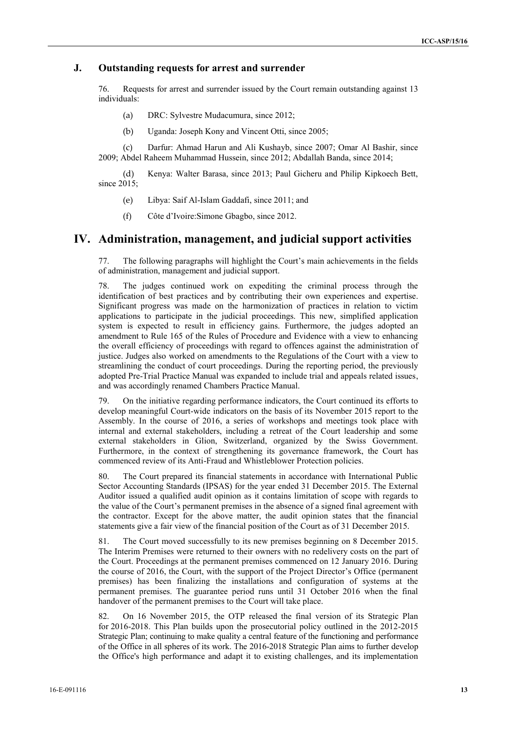## **J. Outstanding requests for arrest and surrender**

76. Requests for arrest and surrender issued by the Court remain outstanding against 13 individuals:

- (a) DRC: Sylvestre Mudacumura, since 2012;
- (b) Uganda: Joseph Kony and Vincent Otti, since 2005;

(c) Darfur: Ahmad Harun and Ali Kushayb, since 2007; Omar Al Bashir, since 2009; Abdel Raheem Muhammad Hussein, since 2012; Abdallah Banda, since 2014;

(d) Kenya: Walter Barasa, since 2013; Paul Gicheru and Philip Kipkoech Bett, since 2015;

- (e) Libya: Saif Al-Islam Gaddafi, since 2011; and
- (f) Côte d'Ivoire:Simone Gbagbo, since 2012.

# **IV. Administration, management, and judicial support activities**

77. The following paragraphs will highlight the Court's main achievements in the fields of administration, management and judicial support.

78. The judges continued work on expediting the criminal process through the identification of best practices and by contributing their own experiences and expertise. Significant progress was made on the harmonization of practices in relation to victim applications to participate in the judicial proceedings. This new, simplified application system is expected to result in efficiency gains. Furthermore, the judges adopted an amendment to Rule 165 of the Rules of Procedure and Evidence with a view to enhancing the overall efficiency of proceedings with regard to offences against the administration of justice. Judges also worked on amendments to the Regulations of the Court with a view to streamlining the conduct of court proceedings. During the reporting period, the previously adopted Pre-Trial Practice Manual was expanded to include trial and appeals related issues, and was accordingly renamed Chambers Practice Manual.

79. On the initiative regarding performance indicators, the Court continued its efforts to develop meaningful Court-wide indicators on the basis of its November 2015 report to the Assembly. In the course of 2016, a series of workshops and meetings took place with internal and external stakeholders, including a retreat of the Court leadership and some external stakeholders in Glion, Switzerland, organized by the Swiss Government. Furthermore, in the context of strengthening its governance framework, the Court has commenced review of its Anti-Fraud and Whistleblower Protection policies.

80. The Court prepared its financial statements in accordance with International Public Sector Accounting Standards (IPSAS) for the year ended 31 December 2015. The External Auditor issued a qualified audit opinion as it contains limitation of scope with regards to the value of the Court's permanent premises in the absence of a signed final agreement with the contractor. Except for the above matter, the audit opinion states that the financial statements give a fair view of the financial position of the Court as of 31 December 2015.

81. The Court moved successfully to its new premises beginning on 8 December 2015. The Interim Premises were returned to their owners with no redelivery costs on the part of the Court. Proceedings at the permanent premises commenced on 12 January 2016. During the course of 2016, the Court, with the support of the Project Director's Office (permanent premises) has been finalizing the installations and configuration of systems at the permanent premises. The guarantee period runs until 31 October 2016 when the final handover of the permanent premises to the Court will take place.

82. On 16 November 2015, the OTP released the final version of its Strategic Plan for 2016-2018. This Plan builds upon the prosecutorial policy outlined in the 2012-2015 Strategic Plan; continuing to make quality a central feature of the functioning and performance of the Office in all spheres of its work. The 2016-2018 Strategic Plan aims to further develop the Office's high performance and adapt it to existing challenges, and its implementation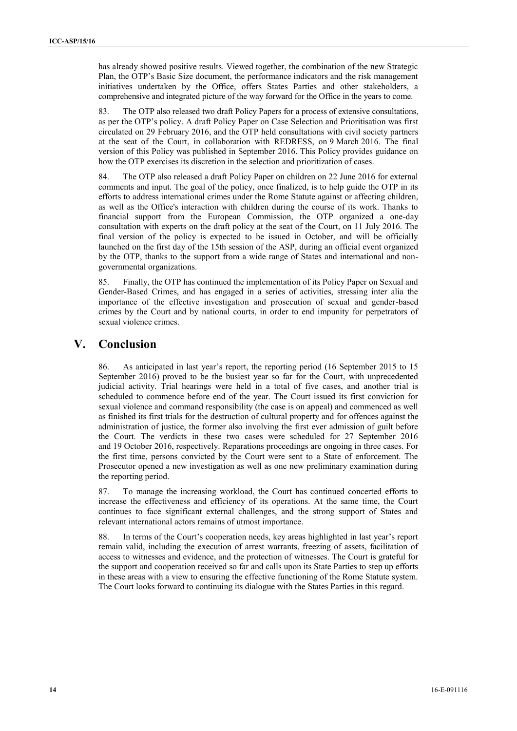has already showed positive results. Viewed together, the combination of the new Strategic Plan, the OTP's Basic Size document, the performance indicators and the risk management initiatives undertaken by the Office, offers States Parties and other stakeholders, a comprehensive and integrated picture of the way forward for the Office in the years to come.

83. The OTP also released two draft Policy Papers for a process of extensive consultations, as per the OTP's policy. A draft Policy Paper on Case Selection and Prioritisation was first circulated on 29 February 2016, and the OTP held consultations with civil society partners at the seat of the Court, in collaboration with REDRESS, on 9 March 2016. The final version of this Policy was published in September 2016. This Policy provides guidance on how the OTP exercises its discretion in the selection and prioritization of cases.

84. The OTP also released a draft Policy Paper on children on 22 June 2016 for external comments and input. The goal of the policy, once finalized, is to help guide the OTP in its efforts to address international crimes under the Rome Statute against or affecting children, as well as the Office's interaction with children during the course of its work. Thanks to financial support from the European Commission, the OTP organized a one-day consultation with experts on the draft policy at the seat of the Court, on 11 July 2016. The final version of the policy is expected to be issued in October, and will be officially launched on the first day of the 15th session of the ASP, during an official event organized by the OTP, thanks to the support from a wide range of States and international and non governmental organizations.

85. Finally, the OTP has continued the implementation of its Policy Paper on Sexual and Gender-Based Crimes, and has engaged in a series of activities, stressing inter alia the importance of the effective investigation and prosecution of sexual and gender-based crimes by the Court and by national courts, in order to end impunity for perpetrators of sexual violence crimes.

# **V. Conclusion**

86. As anticipated in last year's report, the reporting period (16 September 2015 to 15 September 2016) proved to be the busiest year so far for the Court, with unprecedented judicial activity. Trial hearings were held in a total of five cases, and another trial is scheduled to commence before end of the year. The Court issued its first conviction for sexual violence and command responsibility (the case is on appeal) and commenced as well as finished its first trials for the destruction of cultural property and for offences against the administration of justice, the former also involving the first ever admission of guilt before the Court. The verdicts in these two cases were scheduled for 27 September 2016 and 19 October 2016, respectively. Reparations proceedings are ongoing in three cases. For the first time, persons convicted by the Court were sent to a State of enforcement. The Prosecutor opened a new investigation as well as one new preliminary examination during the reporting period.

87. To manage the increasing workload, the Court has continued concerted efforts to increase the effectiveness and efficiency of its operations. At the same time, the Court continues to face significant external challenges, and the strong support of States and relevant international actors remains of utmost importance.

88. In terms of the Court's cooperation needs, key areas highlighted in last year's report remain valid, including the execution of arrest warrants, freezing of assets, facilitation of access to witnesses and evidence, and the protection of witnesses. The Court is grateful for the support and cooperation received so far and calls upon its State Parties to step up efforts in these areas with a view to ensuring the effective functioning of the Rome Statute system. The Court looks forward to continuing its dialogue with the States Parties in this regard.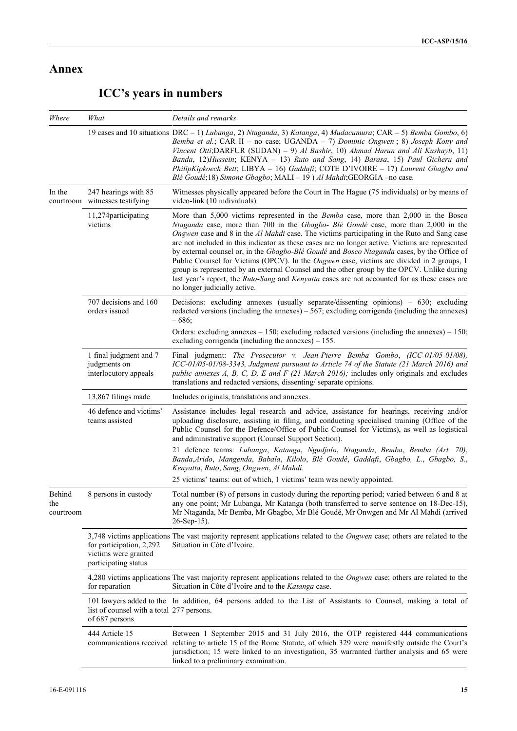# **Annex**

| Where                      | What                                                                     | Details and remarks                                                                                                                                                                                                                                                                                                                                                                                                                                                                                                                                                                                                                                                                                                                                                                                                 |
|----------------------------|--------------------------------------------------------------------------|---------------------------------------------------------------------------------------------------------------------------------------------------------------------------------------------------------------------------------------------------------------------------------------------------------------------------------------------------------------------------------------------------------------------------------------------------------------------------------------------------------------------------------------------------------------------------------------------------------------------------------------------------------------------------------------------------------------------------------------------------------------------------------------------------------------------|
|                            |                                                                          | 19 cases and 10 situations DRC - 1) Lubanga, 2) Ntaganda, 3) Katanga, 4) Mudacumura; CAR - 5) Bemba Gombo, 6)<br>Bemba et al.; CAR II – no case; UGANDA – 7) Dominic Ongwen; 8) Joseph Kony and<br>Vincent Otti; DARFUR (SUDAN) – 9) Al Bashir, 10) Ahmad Harun and Ali Kushayb, 11)<br>Banda, 12)Hussein; KENYA - 13) Ruto and Sang, 14) Barasa, 15) Paul Gicheru and<br>PhilipKipkoech Bett; LIBYA - 16) Gaddafi; COTE D'IVOIRE - 17) Laurent Gbagbo and<br>Blé Goudé;18) Simone Gbagbo; MALI - 19) Al Mahdi; GEORGIA - no case.                                                                                                                                                                                                                                                                                  |
| In the                     | 247 hearings with 85<br>courtroom witnesses testifying                   | Witnesses physically appeared before the Court in The Hague (75 individuals) or by means of<br>video-link (10 individuals).                                                                                                                                                                                                                                                                                                                                                                                                                                                                                                                                                                                                                                                                                         |
|                            | 11,274 participating<br>victims                                          | More than 5,000 victims represented in the <i>Bemba</i> case, more than 2,000 in the Bosco<br>Ntaganda case, more than 700 in the Gbagbo- Blé Goudé case, more than 2,000 in the<br>Ongwen case and 8 in the Al Mahdi case. The victims participating in the Ruto and Sang case<br>are not included in this indicator as these cases are no longer active. Victims are represented<br>by external counsel or, in the Gbagbo-Blé Goudé and Bosco Ntaganda cases, by the Office of<br>Public Counsel for Victims (OPCV). In the <i>Ongwen</i> case, victims are divided in 2 groups, 1<br>group is represented by an external Counsel and the other group by the OPCV. Unlike during<br>last year's report, the Ruto-Sang and Kenyatta cases are not accounted for as these cases are<br>no longer judicially active. |
|                            | 707 decisions and 160<br>orders issued                                   | Decisions: excluding annexes (usually separate/dissenting opinions) - 630; excluding<br>redacted versions (including the annexes) $-567$ ; excluding corrigenda (including the annexes)<br>$-686;$                                                                                                                                                                                                                                                                                                                                                                                                                                                                                                                                                                                                                  |
|                            |                                                                          | Orders: excluding annexes $-150$ ; excluding redacted versions (including the annexes) $-150$ ;<br>excluding corrigenda (including the annexes) $-155$ .                                                                                                                                                                                                                                                                                                                                                                                                                                                                                                                                                                                                                                                            |
|                            | 1 final judgment and 7<br>judgments on<br>interlocutory appeals          | Final judgment: The Prosecutor v. Jean-Pierre Bemba Gombo, (ICC-01/05-01/08),<br>ICC-01/05-01/08-3343, Judgment pursuant to Article 74 of the Statute (21 March 2016) and<br>public annexes $A$ , $B$ , $C$ , $D$ , $E$ and $F$ (21 March 2016); includes only originals and excludes<br>translations and redacted versions, dissenting/separate opinions.                                                                                                                                                                                                                                                                                                                                                                                                                                                          |
|                            | 13,867 filings made                                                      | Includes originals, translations and annexes.                                                                                                                                                                                                                                                                                                                                                                                                                                                                                                                                                                                                                                                                                                                                                                       |
|                            | 46 defence and victims'<br>teams assisted                                | Assistance includes legal research and advice, assistance for hearings, receiving and/or<br>uploading disclosure, assisting in filing, and conducting specialised training (Office of the<br>Public Counsel for the Defence/Office of Public Counsel for Victims), as well as logistical<br>and administrative support (Counsel Support Section).                                                                                                                                                                                                                                                                                                                                                                                                                                                                   |
|                            |                                                                          | 21 defence teams: Lubanga, Katanga, Ngudjolo, Ntaganda, Bemba, Bemba (Art. 70),<br>Banda, Arido, Mangenda, Babala, Kilolo, Blé Goudé, Gaddafi, Gbagbo, L., Gbagbo, S.,<br>Kenyatta, Ruto, Sang, Ongwen, Al Mahdi.                                                                                                                                                                                                                                                                                                                                                                                                                                                                                                                                                                                                   |
|                            |                                                                          | 25 victims' teams: out of which, 1 victims' team was newly appointed.                                                                                                                                                                                                                                                                                                                                                                                                                                                                                                                                                                                                                                                                                                                                               |
| Behind<br>the<br>courtroom | 8 persons in custody                                                     | Total number (8) of persons in custody during the reporting period; varied between 6 and 8 at<br>any one point; Mr Lubanga, Mr Katanga (both transferred to serve sentence on 18-Dec-15),<br>Mr Ntaganda, Mr Bemba, Mr Gbagbo, Mr Blé Goudé, Mr Onwgen and Mr Al Mahdi (arrived<br>$26-Sep-15$ ).                                                                                                                                                                                                                                                                                                                                                                                                                                                                                                                   |
|                            | for participation, 2,292<br>victims were granted<br>participating status | 3,748 victims applications The vast majority represent applications related to the <i>Ongwen</i> case; others are related to the<br>Situation in Côte d'Ivoire.                                                                                                                                                                                                                                                                                                                                                                                                                                                                                                                                                                                                                                                     |
|                            | for reparation                                                           | 4,280 victims applications The vast majority represent applications related to the <i>Ongwen</i> case; others are related to the<br>Situation in Côte d'Ivoire and to the Katanga case.                                                                                                                                                                                                                                                                                                                                                                                                                                                                                                                                                                                                                             |
|                            | list of counsel with a total 277 persons.<br>of 687 persons              | 101 lawyers added to the In addition, 64 persons added to the List of Assistants to Counsel, making a total of                                                                                                                                                                                                                                                                                                                                                                                                                                                                                                                                                                                                                                                                                                      |
|                            | 444 Article 15                                                           | Between 1 September 2015 and 31 July 2016, the OTP registered 444 communications<br>communications received relating to article 15 of the Rome Statute, of which 329 were manifestly outside the Court's<br>jurisdiction; 15 were linked to an investigation, 35 warranted further analysis and 65 were<br>linked to a preliminary examination.                                                                                                                                                                                                                                                                                                                                                                                                                                                                     |

# **ICC's years in numbers**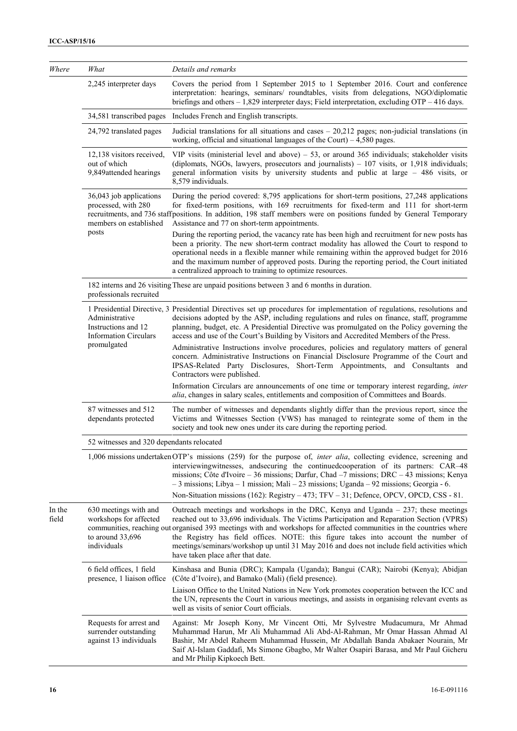| Where           | What                                                                                 | Details and remarks                                                                                                                                                                                                                                                                                                                                                                                                                                                                                                                 |
|-----------------|--------------------------------------------------------------------------------------|-------------------------------------------------------------------------------------------------------------------------------------------------------------------------------------------------------------------------------------------------------------------------------------------------------------------------------------------------------------------------------------------------------------------------------------------------------------------------------------------------------------------------------------|
|                 | 2,245 interpreter days                                                               | Covers the period from 1 September 2015 to 1 September 2016. Court and conference<br>interpretation: hearings, seminars/ roundtables, visits from delegations, NGO/diplomatic<br>briefings and others $-1,829$ interpreter days; Field interpretation, excluding OTP $-416$ days.                                                                                                                                                                                                                                                   |
|                 | 34,581 transcribed pages                                                             | Includes French and English transcripts.                                                                                                                                                                                                                                                                                                                                                                                                                                                                                            |
|                 | 24,792 translated pages                                                              | Judicial translations for all situations and cases $-20,212$ pages; non-judicial translations (in<br>working, official and situational languages of the Court) $-4,580$ pages.                                                                                                                                                                                                                                                                                                                                                      |
|                 | 12,138 visitors received,<br>out of which<br>9,849attended hearings                  | VIP visits (ministerial level and above) $-53$ , or around 365 individuals; stakeholder visits<br>(diplomats, NGOs, lawyers, prosecutors and journalists) - 107 visits, or 1,918 individuals;<br>general information visits by university students and public at large $-486$ visits, or<br>8,579 individuals.                                                                                                                                                                                                                      |
|                 | 36,043 job applications<br>processed, with 280<br>members on established             | During the period covered: 8,795 applications for short-term positions, 27,248 applications<br>for fixed-term positions, with 169 recruitments for fixed-term and 111 for short-term<br>recruitments, and 736 staffpositions. In addition, 198 staff members were on positions funded by General Temporary<br>Assistance and 77 on short-term appointments.                                                                                                                                                                         |
|                 | posts                                                                                | During the reporting period, the vacancy rate has been high and recruitment for new posts has<br>been a priority. The new short-term contract modality has allowed the Court to respond to<br>operational needs in a flexible manner while remaining within the approved budget for 2016<br>and the maximum number of approved posts. During the reporting period, the Court initiated<br>a centralized approach to training to optimize resources.                                                                                 |
|                 | professionals recruited                                                              | 182 interns and 26 visiting These are unpaid positions between 3 and 6 months in duration.                                                                                                                                                                                                                                                                                                                                                                                                                                          |
|                 | Administrative<br>Instructions and 12<br><b>Information Circulars</b><br>promulgated | 1 Presidential Directive, 3 Presidential Directives set up procedures for implementation of regulations, resolutions and<br>decisions adopted by the ASP, including regulations and rules on finance, staff, programme<br>planning, budget, etc. A Presidential Directive was promulgated on the Policy governing the<br>access and use of the Court's Building by Visitors and Accredited Members of the Press.                                                                                                                    |
|                 |                                                                                      | Administrative Instructions involve procedures, policies and regulatory matters of general<br>concern. Administrative Instructions on Financial Disclosure Programme of the Court and<br>IPSAS-Related Party Disclosures, Short-Term Appointments, and Consultants and<br>Contractors were published.                                                                                                                                                                                                                               |
|                 |                                                                                      | Information Circulars are announcements of one time or temporary interest regarding, inter<br>alia, changes in salary scales, entitlements and composition of Committees and Boards.                                                                                                                                                                                                                                                                                                                                                |
|                 | 87 witnesses and 512<br>dependants protected                                         | The number of witnesses and dependants slightly differ than the previous report, since the<br>Victims and Witnesses Section (VWS) has managed to reintegrate some of them in the<br>society and took new ones under its care during the reporting period.                                                                                                                                                                                                                                                                           |
|                 | 52 witnesses and 320 dependants relocated                                            |                                                                                                                                                                                                                                                                                                                                                                                                                                                                                                                                     |
|                 |                                                                                      | 1,006 missions undertaken OTP's missions (259) for the purpose of, <i>inter alia</i> , collecting evidence, screening and<br>interviewingwitnesses, and securing the continued cooperation of its partners: CAR-48<br>missions; Côte d'Ivoire – 36 missions; Darfur, Chad –7 missions; DRC – 43 missions; Kenya<br>$-3$ missions; Libya $-1$ mission; Mali $-23$ missions; Uganda $-92$ missions; Georgia $-6$ .                                                                                                                    |
|                 |                                                                                      | Non-Situation missions (162): Registry – 473; TFV – 31; Defence, OPCV, OPCD, CSS - 81.                                                                                                                                                                                                                                                                                                                                                                                                                                              |
| In the<br>field | 630 meetings with and<br>workshops for affected<br>to around 33,696<br>individuals   | Outreach meetings and workshops in the DRC, Kenya and Uganda $-237$ ; these meetings<br>reached out to 33,696 individuals. The Victims Participation and Reparation Section (VPRS)<br>communities, reaching out organised 393 meetings with and workshops for affected communities in the countries where<br>the Registry has field offices. NOTE: this figure takes into account the number of<br>meetings/seminars/workshop up until 31 May 2016 and does not include field activities which<br>have taken place after that date. |
|                 | 6 field offices, 1 field<br>presence, 1 liaison office                               | Kinshasa and Bunia (DRC); Kampala (Uganda); Bangui (CAR); Nairobi (Kenya); Abidjan<br>(Côte d'Ivoire), and Bamako (Mali) (field presence).                                                                                                                                                                                                                                                                                                                                                                                          |
|                 |                                                                                      | Liaison Office to the United Nations in New York promotes cooperation between the ICC and<br>the UN, represents the Court in various meetings, and assists in organising relevant events as<br>well as visits of senior Court officials.                                                                                                                                                                                                                                                                                            |
|                 | Requests for arrest and<br>surrender outstanding<br>against 13 individuals           | Against: Mr Joseph Kony, Mr Vincent Otti, Mr Sylvestre Mudacumura, Mr Ahmad<br>Muhammad Harun, Mr Ali Muhammad Ali Abd-Al-Rahman, Mr Omar Hassan Ahmad Al<br>Bashir, Mr Abdel Raheem Muhammad Hussein, Mr Abdallah Banda Abakaer Nourain, Mr<br>Saif Al-Islam Gaddafi, Ms Simone Gbagbo, Mr Walter Osapiri Barasa, and Mr Paul Gicheru<br>and Mr Philip Kipkoech Bett.                                                                                                                                                              |